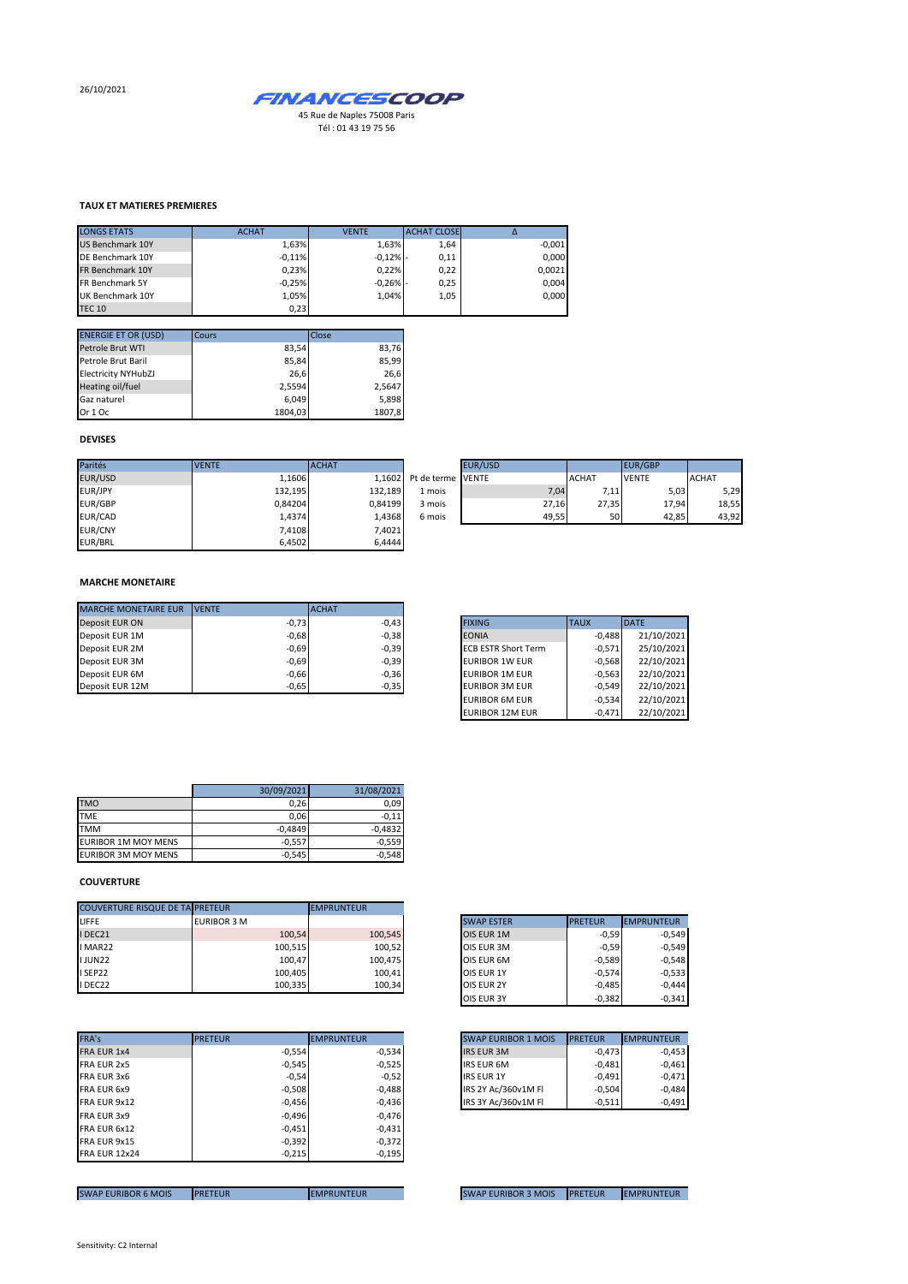26/10/2021



**TAUX ET MATIERES PREMIERES**

| <b>LONGS ETATS</b>      | <b>ACHAT</b> | <b>VENTE</b> | <b>ACHAT CLOSE</b> | Δ        |
|-------------------------|--------------|--------------|--------------------|----------|
| <b>US Benchmark 10Y</b> | 1,63%        | 1.63%        | 1,64               | $-0,001$ |
| DE Benchmark 10Y        | $-0.11%$     | $-0,12%$ -   | 0,11               | 0.000    |
| FR Benchmark 10Y        | 0,23%        | 0.22%        | 0,22               | 0,0021   |
| FR Benchmark 5Y         | $-0,25%$     | $-0,26%$ -   | 0,25               | 0.004    |
| UK Benchmark 10Y        | 1,05%        | 1.04%        | 1,05               | 0,000    |
| <b>TEC 10</b>           | 0,23         |              |                    |          |

| <b>ENERGIE ET OR (USD)</b> | Cours   | Close  |
|----------------------------|---------|--------|
| Petrole Brut WTI           | 83,54   | 83,76  |
| Petrole Brut Baril         | 85,84   | 85,99  |
| <b>Electricity NYHubZJ</b> | 26.6    | 26.6   |
| Heating oil/fuel           | 2.5594  | 2,5647 |
| Gaz naturel                | 6.049   | 5.898  |
| Or 1 Oc                    | 1804.03 | 1807,8 |

## **DEVISES**

| Parités        | <b>VENTE</b> | <b>ACHAT</b> |                          | <b>EUR/USD</b> |              | EUR/GBP      |              |
|----------------|--------------|--------------|--------------------------|----------------|--------------|--------------|--------------|
| EUR/USD        | 1.1606       |              | 1.1602 Pt de terme VENTE |                | <b>ACHAT</b> | <b>VENTE</b> | <b>ACHAT</b> |
| EUR/JPY        | 132,195      | 132.189      | 1 mois                   | 7,04           | 7,11         | 5,03         | 5,29         |
| EUR/GBP        | 0.84204      | 0.84199      | 3 mois                   | 27.16          | 27,35        | 17,94        | 18,55        |
| EUR/CAD        | 1,4374       | 1.4368       | 6 mois                   | 49.55          | 50           | 42,85        | 43,92        |
| <b>EUR/CNY</b> | 7.4108       | 7,4021       |                          |                |              |              |              |
| EUR/BRL        | 6,4502       | 6,4444       |                          |                |              |              |              |

|    | <b>EUR/USD</b> |              | <b>EUR/GBP</b> |              |
|----|----------------|--------------|----------------|--------------|
|    | rme IVENTE     | <b>ACHAT</b> | <b>VENTE</b>   | <b>ACHAT</b> |
| is | 7.04           | 7,11         | 5,03           | 5,29         |
| is | 27,16          | 27,35        | 17,94          | 18,55        |
| is | 49,55          | 50           | 42,85          | 43,92        |

## **MARCHE MONETAIRE**

| <b>MARCHE MONETAIRE EUR</b> | <b>IVENTE</b> | <b>ACHAT</b> |                            |             |              |
|-----------------------------|---------------|--------------|----------------------------|-------------|--------------|
| Deposit EUR ON              | $-0,73$       | $-0.43$      | <b>FIXING</b>              | <b>TAUX</b> | <b>IDATE</b> |
| Deposit EUR 1M              | $-0.68$       | $-0,38$      | <b>EONIA</b>               | $-0.488$    | 21/10/2021   |
| Deposit EUR 2M              | $-0,69$       | $-0,39$      | <b>ECB ESTR Short Term</b> | $-0.571$    | 25/10/2021   |
| Deposit EUR 3M              | $-0,69$       | $-0,39$      | <b>EURIBOR 1W EUR</b>      | $-0.568$    | 22/10/2021   |
| Deposit EUR 6M              | $-0,66$       | $-0,36$      | <b>EURIBOR 1M EUR</b>      | $-0.563$    | 22/10/2021   |
| Deposit EUR 12M             | $-0,65$       | $-0,35$      | <b>EURIBOR 3M EUR</b>      | $-0.549$    | 22/10/2021   |

| <b>FIXING</b>              | <b>TAUX</b> | <b>DATE</b> |
|----------------------------|-------------|-------------|
| <b>EONIA</b>               | $-0,488$    | 21/10/2021  |
| <b>ECB ESTR Short Term</b> | $-0.571$    | 25/10/2021  |
| <b>EURIBOR 1W EUR</b>      | $-0.568$    | 22/10/2021  |
| <b>EURIBOR 1M EUR</b>      | $-0.563$    | 22/10/2021  |
| <b>EURIBOR 3M EUR</b>      | $-0.549$    | 22/10/2021  |
| <b>EURIBOR 6M EUR</b>      | $-0.534$    | 22/10/2021  |
| <b>EURIBOR 12M EUR</b>     | $-0,471$    | 22/10/2021  |

|                            | 30/09/2021 | 31/08/2021 |
|----------------------------|------------|------------|
| <b>TMO</b>                 | 0,26       | 0.09       |
| <b>TME</b>                 | 0,06       | $-0.11$    |
| <b>TMM</b>                 | $-0,4849$  | $-0.4832$  |
| <b>EURIBOR 1M MOY MENS</b> | $-0,557$   | $-0.559$   |
| <b>EURIBOR 3M MOY MENS</b> | $-0,545$   | $-0.548$   |

## **COUVERTURE**

| <b>COUVERTURE RISQUE DE TA PRETEUR</b> |             | <b>EMPRUNTEUR</b> |                   |                              |
|----------------------------------------|-------------|-------------------|-------------------|------------------------------|
|                                        | EURIBOR 3 M |                   | <b>SWAP ESTER</b> | <b>PRETEUR</b><br>EMPRUNTEUR |
| I DEC21                                | 100,54      | 100,545           | OIS EUR 1M        | $-0.59$                      |
| I MAR22                                | 100,515     | 100,52            | OIS EUR 3M        | $-0.59$                      |
| <b>IJUN22</b>                          | 100.47      | 100,475           | OIS EUR 6M        | $-0.589$                     |
| I SEP22                                | 100.405     | 100,41            | OIS EUR 1Y        | $-0.574$                     |
| I DEC22                                | 100.335     | 100,34            | OIS EUR 2Y        | $-0.485$                     |

| FRA's                | <b>PRETEUR</b> | <b>EMPRUNTEUR</b> |                     | <b>SWAP EURIBOR 1 MOIS</b> | <b>PRETEUR</b> |
|----------------------|----------------|-------------------|---------------------|----------------------------|----------------|
| FRA EUR 1x4          | $-0,554$       | $-0,534$          | <b>IRS EUR 3M</b>   |                            | $-0.473$       |
| FRA EUR 2x5          | $-0,545$       | $-0,525$          | <b>IRS EUR 6M</b>   |                            | $-0,481$       |
| FRA EUR 3x6          | $-0,54$        | $-0,52$           | <b>IRS EUR 1Y</b>   |                            | $-0,491$       |
| FRA EUR 6x9          | $-0,508$       | $-0,488$          | IRS 2Y Ac/360v1M FI |                            | $-0.504$       |
| FRA EUR 9x12         | $-0,456$       | $-0,436$          | IRS 3Y Ac/360v1M FI |                            | $-0,511$       |
| FRA EUR 3x9          | $-0,496$       | $-0,476$          |                     |                            |                |
| FRA EUR 6x12         | $-0,451$       | $-0,431$          |                     |                            |                |
| FRA EUR 9x15         | $-0,392$       | $-0,372$          |                     |                            |                |
| <b>FRA EUR 12x24</b> | $-0,215$       | $-0,195$          |                     |                            |                |
|                      |                |                   |                     |                            |                |

| <b>SWAP ESTER</b> | <b>PRETEUR</b> | <b>EMPRUNTEUR</b> |
|-------------------|----------------|-------------------|
| OIS EUR 1M        | $-0,59$        | $-0,549$          |
| OIS EUR 3M        | $-0,59$        | $-0,549$          |
| OIS EUR 6M        | $-0,589$       | $-0,548$          |
| OIS EUR 1Y        | $-0.574$       | $-0,533$          |
| <b>OIS EUR 2Y</b> | $-0,485$       | $-0,444$          |
| <b>OIS EUR 3Y</b> | $-0.382$       | $-0.341$          |

| <b>SWAP EURIBOR 1 MOIS</b> | <b>PRETEUR</b> | <b>EMPRUNTEUR</b> |
|----------------------------|----------------|-------------------|
| <b>IRS EUR 3M</b>          | $-0.473$       | $-0.453$          |
| <b>IRS EUR 6M</b>          | $-0.481$       | $-0.461$          |
| <b>IRS EUR 1Y</b>          | $-0.491$       | $-0.471$          |
| IRS 2Y Ac/360v1M Fl        | $-0.504$       | $-0.484$          |
| IRS 3Y Ac/360v1M Fl        | $-0.511$       | $-0.491$          |

SWAP EURIBOR 6 MOIS PRETEUR EMPRUNTEUR EMPRUNTEUR SWAP EURIBOR 3 MOIS PRETEUR EMPRUNTEUR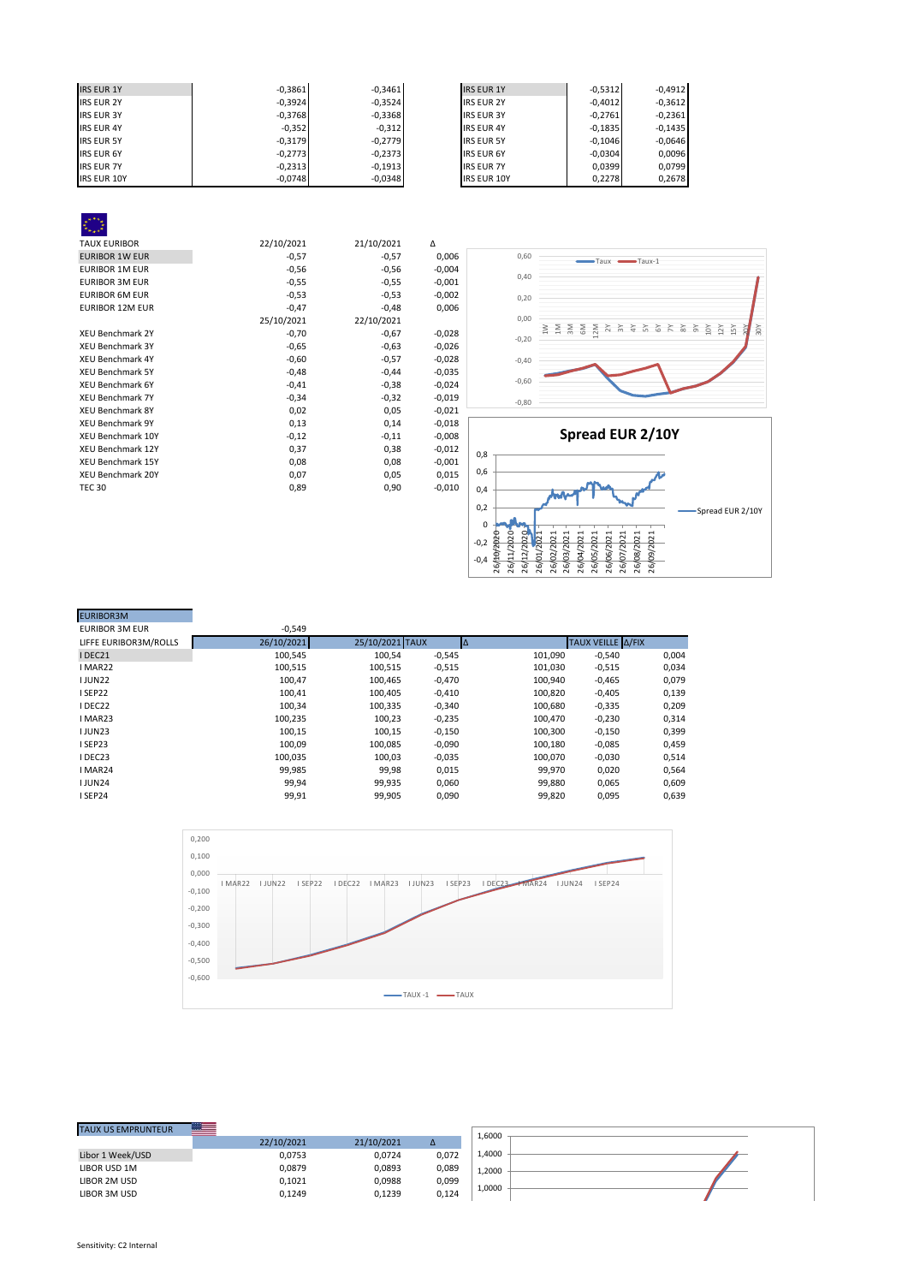| <b>IRS EUR 1Y</b>  | $-0.3861$ | $-0.3461$ | <b>IRS EUR 1Y</b>  | $-0.5312$ | $-0,4912$ |
|--------------------|-----------|-----------|--------------------|-----------|-----------|
| <b>IRS EUR 2Y</b>  | $-0,3924$ | $-0,3524$ | <b>IRS EUR 2Y</b>  | $-0,4012$ | $-0,3612$ |
| <b>IRS EUR 3Y</b>  | $-0,3768$ | $-0,3368$ | <b>IRS EUR 3Y</b>  | $-0.2761$ | $-0,2361$ |
| <b>IRS EUR 4Y</b>  | $-0,352$  | $-0,312$  | <b>IRS EUR 4Y</b>  | $-0,1835$ | $-0,1435$ |
| <b>IRS EUR 5Y</b>  | $-0,3179$ | $-0,2779$ | <b>IRS EUR 5Y</b>  | $-0.1046$ | $-0,0646$ |
| <b>IRS EUR 6Y</b>  | $-0,2773$ | $-0,2373$ | <b>IRS EUR 6Y</b>  | $-0,0304$ | 0,0096    |
| <b>IRS EUR 7Y</b>  | $-0,2313$ | $-0.1913$ | <b>IRS EUR 7Y</b>  | 0.0399    | 0.0799    |
| <b>IRS EUR 10Y</b> | $-0,0748$ | $-0,0348$ | <b>IRS EUR 10Y</b> | 0,2278    | 0,2678    |

| <b>TAUX EURIBOR</b>      | 22/10/2021 | 21/10/2021 | Δ        |
|--------------------------|------------|------------|----------|
| <b>EURIBOR 1W EUR</b>    | $-0,57$    | $-0,57$    | 0,006    |
| <b>EURIBOR 1M EUR</b>    | $-0,56$    | $-0,56$    | $-0,004$ |
| <b>EURIBOR 3M EUR</b>    | $-0,55$    | $-0,55$    | $-0,001$ |
| <b>EURIBOR 6M EUR</b>    | $-0,53$    | $-0,53$    | $-0,002$ |
| <b>EURIBOR 12M EUR</b>   | $-0,47$    | $-0,48$    | 0,006    |
|                          | 25/10/2021 | 22/10/2021 |          |
| <b>XEU Benchmark 2Y</b>  | $-0,70$    | $-0,67$    | $-0,028$ |
| <b>XEU Benchmark 3Y</b>  | $-0,65$    | $-0,63$    | $-0,026$ |
| <b>XEU Benchmark 4Y</b>  | $-0,60$    | $-0,57$    | $-0,028$ |
| <b>XEU Benchmark 5Y</b>  | $-0,48$    | $-0,44$    | $-0,035$ |
| <b>XEU Benchmark 6Y</b>  | $-0,41$    | $-0,38$    | $-0,024$ |
| <b>XEU Benchmark 7Y</b>  | $-0,34$    | $-0,32$    | $-0,019$ |
| <b>XEU Benchmark 8Y</b>  | 0,02       | 0,05       | $-0,021$ |
| <b>XEU Benchmark 9Y</b>  | 0,13       | 0,14       | $-0,018$ |
| <b>XEU Benchmark 10Y</b> | $-0,12$    | $-0,11$    | $-0,008$ |
| <b>XEU Benchmark 12Y</b> | 0,37       | 0,38       | $-0,012$ |
| <b>XEU Benchmark 15Y</b> | 0,08       | 0,08       | $-0,001$ |
| <b>XEU Benchmark 20Y</b> | 0,07       | 0,05       | 0,015    |
| <b>TEC 30</b>            | 0,89       | 0,90       | $-0,010$ |
|                          |            |            |          |
|                          |            |            |          |



| <b>EURIBOR3M</b>      |            |                 |          |         |                   |       |
|-----------------------|------------|-----------------|----------|---------|-------------------|-------|
| <b>EURIBOR 3M EUR</b> | $-0,549$   |                 |          |         |                   |       |
| LIFFE EURIBOR3M/ROLLS | 26/10/2021 | 25/10/2021 TAUX |          | Δ       | TAUX VEILLE A/FIX |       |
| IDEC21                | 100,545    | 100,54          | $-0,545$ | 101,090 | $-0,540$          | 0,004 |
| I MAR22               | 100,515    | 100,515         | $-0,515$ | 101,030 | $-0,515$          | 0,034 |
| <b>IJUN22</b>         | 100,47     | 100,465         | $-0,470$ | 100,940 | $-0,465$          | 0,079 |
| ISEP22                | 100,41     | 100,405         | $-0,410$ | 100,820 | $-0,405$          | 0,139 |
| I DEC22               | 100,34     | 100,335         | $-0,340$ | 100,680 | $-0,335$          | 0,209 |
| I MAR23               | 100.235    | 100,23          | $-0,235$ | 100.470 | $-0,230$          | 0,314 |
| <b>IJUN23</b>         | 100,15     | 100,15          | $-0,150$ | 100,300 | $-0,150$          | 0,399 |
| I SEP23               | 100,09     | 100,085         | $-0,090$ | 100,180 | $-0,085$          | 0,459 |
| I DEC23               | 100,035    | 100,03          | $-0,035$ | 100,070 | $-0,030$          | 0,514 |
| I MAR24               | 99,985     | 99,98           | 0,015    | 99,970  | 0.020             | 0,564 |
| <b>IJUN24</b>         | 99,94      | 99,935          | 0,060    | 99,880  | 0,065             | 0,609 |
| I SEP24               | 99,91      | 99,905          | 0,090    | 99,820  | 0,095             | 0,639 |